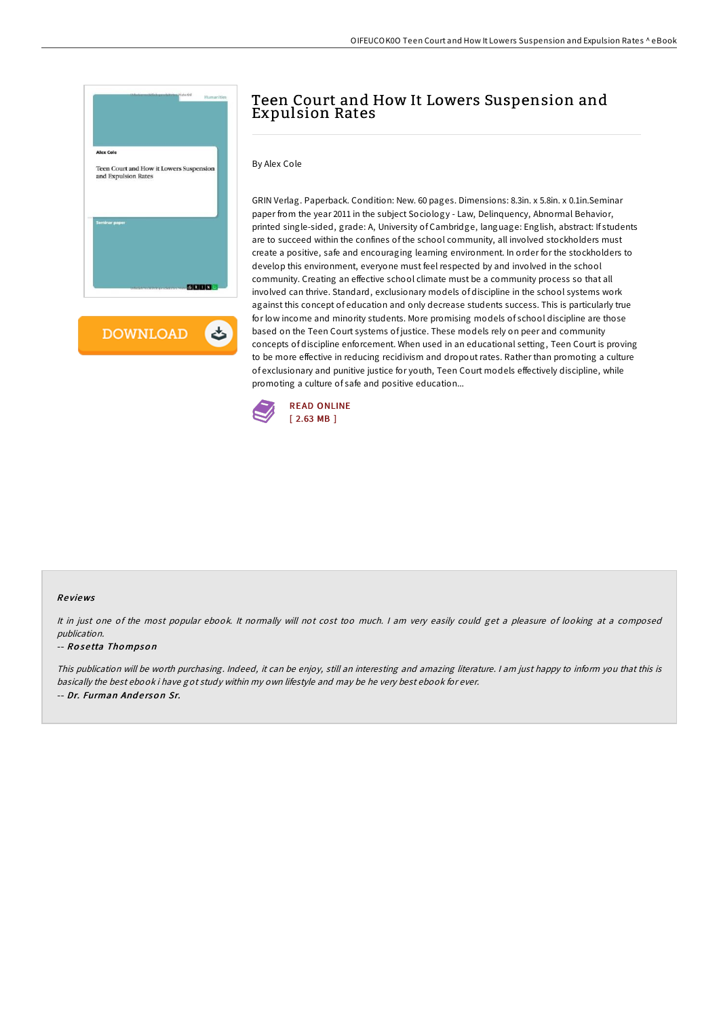

**DOWNLOAD** ょ

# Teen Court and How It Lowers Suspension and Expulsion Rates

By Alex Cole

GRIN Verlag. Paperback. Condition: New. 60 pages. Dimensions: 8.3in. x 5.8in. x 0.1in.Seminar paper from the year 2011 in the subject Sociology - Law, Delinquency, Abnormal Behavior, printed single-sided, grade: A, University of Cambridge, language: English, abstract: If students are to succeed within the confines of the school community, all involved stockholders must create a positive, safe and encouraging learning environment. In order for the stockholders to develop this environment, everyone must feel respected by and involved in the school community. Creating an effective school climate must be a community process so that all involved can thrive. Standard, exclusionary models of discipline in the school systems work against this concept of education and only decrease students success. This is particularly true for low income and minority students. More promising models of school discipline are those based on the Teen Court systems of justice. These models rely on peer and community concepts of discipline enforcement. When used in an educational setting, Teen Court is proving to be more effective in reducing recidivism and dropout rates. Rather than promoting a culture of exclusionary and punitive justice for youth, Teen Court models effectively discipline, while promoting a culture of safe and positive education...



### Re views

It in just one of the most popular ebook. It normally will not cost too much. <sup>I</sup> am very easily could get <sup>a</sup> pleasure of looking at <sup>a</sup> composed publication.

#### -- Ro se tta Tho mpso <sup>n</sup>

This publication will be worth purchasing. Indeed, it can be enjoy, still an interesting and amazing literature. <sup>I</sup> am just happy to inform you that this is basically the best ebook i have got study within my own lifestyle and may be he very best ebook for ever. -- Dr. Furman Anderson Sr.